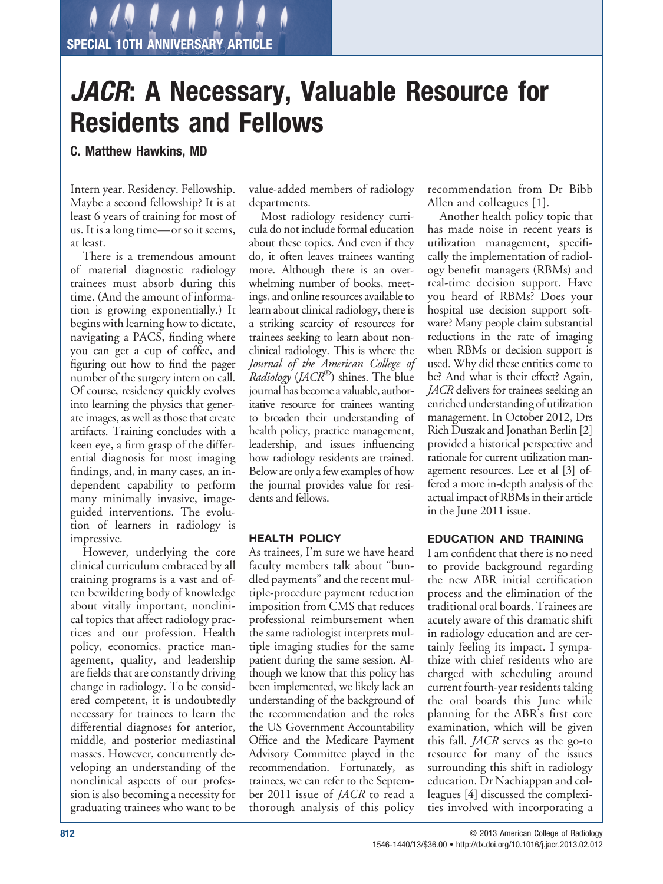# *JACR***: A Necessary, Valuable Resource for Residents and Fellows**

**C. Matthew Hawkins, MD**

Intern year. Residency. Fellowship. Maybe a second fellowship? It is at least 6 years of training for most of us. It is a long time—or so it seems, at least.

There is a tremendous amount of material diagnostic radiology trainees must absorb during this time. (And the amount of information is growing exponentially.) It begins with learning how to dictate, navigating a PACS, finding where you can get a cup of coffee, and figuring out how to find the pager number of the surgery intern on call. Of course, residency quickly evolves into learning the physics that generate images, as well as those that create artifacts. Training concludes with a keen eye, a firm grasp of the differential diagnosis for most imaging findings, and, in many cases, an independent capability to perform many minimally invasive, imageguided interventions. The evolution of learners in radiology is impressive.

However, underlying the core clinical curriculum embraced by all training programs is a vast and often bewildering body of knowledge about vitally important, nonclinical topics that affect radiology practices and our profession. Health policy, economics, practice management, quality, and leadership are fields that are constantly driving change in radiology. To be considered competent, it is undoubtedly necessary for trainees to learn the differential diagnoses for anterior, middle, and posterior mediastinal masses. However, concurrently developing an understanding of the nonclinical aspects of our profession is also becoming a necessity for graduating trainees who want to be

value-added members of radiology departments.

Most radiology residency curricula do not include formal education about these topics. And even if they do, it often leaves trainees wanting more. Although there is an overwhelming number of books, meetings, and online resources available to learn about clinical radiology, there is a striking scarcity of resources for trainees seeking to learn about nonclinical radiology. This is where the *Journal of the American College of Radiology* (*JACR*®) shines. The blue journal has become a valuable, authoritative resource for trainees wanting to broaden their understanding of health policy, practice management, leadership, and issues influencing how radiology residents are trained. Below are only a few examples of how the journal provides value for residents and fellows.

### **HEALTH POLICY**

As trainees, I'm sure we have heard faculty members talk about "bundled payments" and the recent multiple-procedure payment reduction imposition from CMS that reduces professional reimbursement when the same radiologist interprets multiple imaging studies for the same patient during the same session. Although we know that this policy has been implemented, we likely lack an understanding of the background of the recommendation and the roles the US Government Accountability Office and the Medicare Payment Advisory Committee played in the recommendation. Fortunately, as trainees, we can refer to the September 2011 issue of *JACR* to read a thorough analysis of this policy recommendation from Dr Bibb Allen and colleagues [1].

Another health policy topic that has made noise in recent years is utilization management, specifically the implementation of radiology benefit managers (RBMs) and real-time decision support. Have you heard of RBMs? Does your hospital use decision support software? Many people claim substantial reductions in the rate of imaging when RBMs or decision support is used. Why did these entities come to be? And what is their effect? Again, *JACR* delivers for trainees seeking an enriched understanding of utilization management. In October 2012, Drs Rich Duszak and Jonathan Berlin [2] provided a historical perspective and rationale for current utilization management resources. Lee et al [3] offered a more in-depth analysis of the actual impact of RBMs in their article in the June 2011 issue.

## **EDUCATION AND TRAINING**

I am confident that there is no need to provide background regarding the new ABR initial certification process and the elimination of the traditional oral boards. Trainees are acutely aware of this dramatic shift in radiology education and are certainly feeling its impact. I sympathize with chief residents who are charged with scheduling around current fourth-year residents taking the oral boards this June while planning for the ABR's first core examination, which will be given this fall. *JACR* serves as the go-to resource for many of the issues surrounding this shift in radiology education. Dr Nachiappan and colleagues [4] discussed the complexities involved with incorporating a